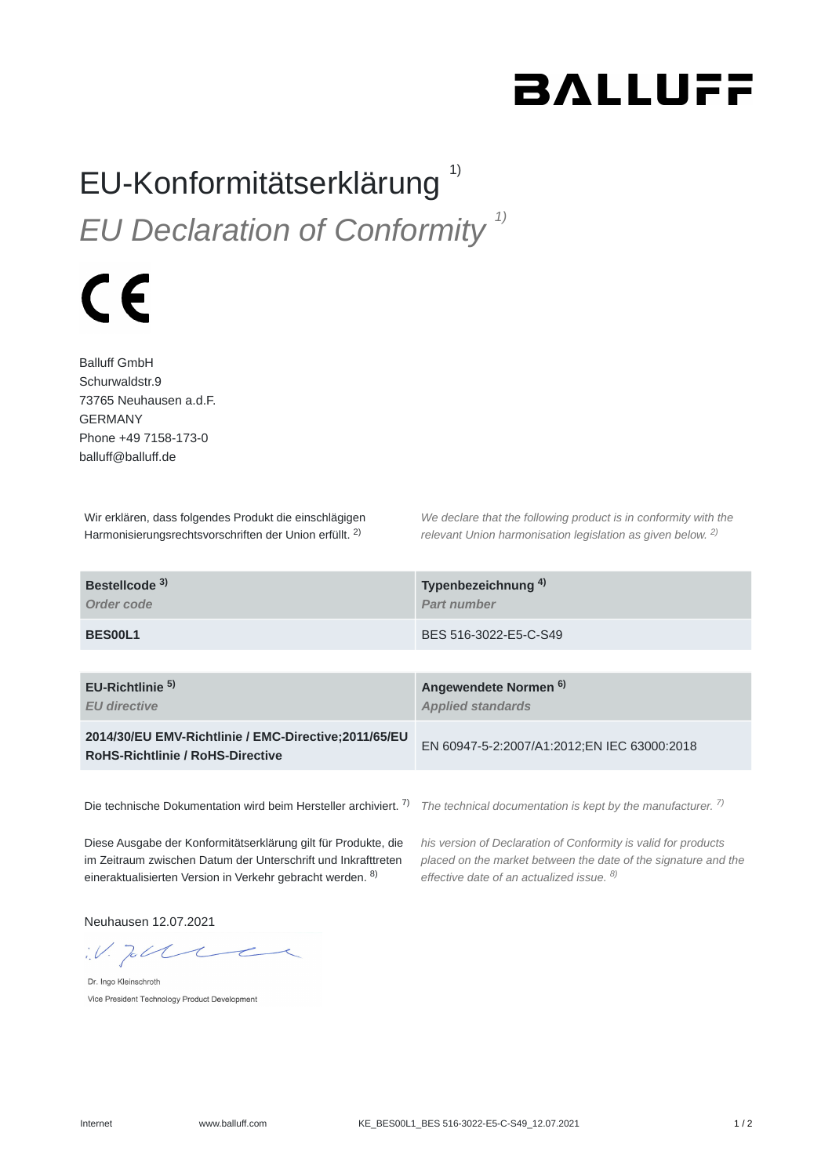## **BALLUFF**

## EU-Konformitätserklärung<sup>1)</sup> *EU Declaration of Conformity 1)*

## $\epsilon$

Balluff GmbH Schurwaldstr.9 73765 Neuhausen a.d.F. GERMANY Phone +49 7158-173-0 balluff@balluff.de

Wir erklären, dass folgendes Produkt die einschlägigen Harmonisierungsrechtsvorschriften der Union erfüllt. <sup>2)</sup>

*We declare that the following product is in conformity with the relevant Union harmonisation legislation as given below.* 2) *2)*

| Bestellcode <sup>3)</sup><br>Order code                                                          | Typenbezeichnung <sup>4)</sup><br>Part number                |
|--------------------------------------------------------------------------------------------------|--------------------------------------------------------------|
| BES00L1                                                                                          | BES 516-3022-E5-C-S49                                        |
|                                                                                                  |                                                              |
| $EU-Richtlinie5$<br><b>EU directive</b>                                                          | Angewendete Normen <sup>6)</sup><br><b>Applied standards</b> |
| 2014/30/EU EMV-Richtlinie / EMC-Directive: 2011/65/EU<br><b>RoHS-Richtlinie / RoHS-Directive</b> | EN 60947-5-2:2007/A1:2012;EN IEC 63000:2018                  |
|                                                                                                  |                                                              |

Die technische Dokumentation wird beim Hersteller archiviert. <sup>7)</sup> The technical documentation is kept by the manufacturer. <sup>7)</sup>

Diese Ausgabe der Konformitätserklärung gilt für Produkte, die im Zeitraum zwischen Datum der Unterschrift und Inkrafttreten eineraktualisierten Version in Verkehr gebracht werden. <sup>8)</sup>

*his version of Declaration of Conformity is valid for products placed on the market between the date of the signature and the effective date of an actualized issue. 8)*

Neuhausen 12.07.2021

 $W.$  To the

Dr. Ingo Kleinschroth Vice President Technology Product Development